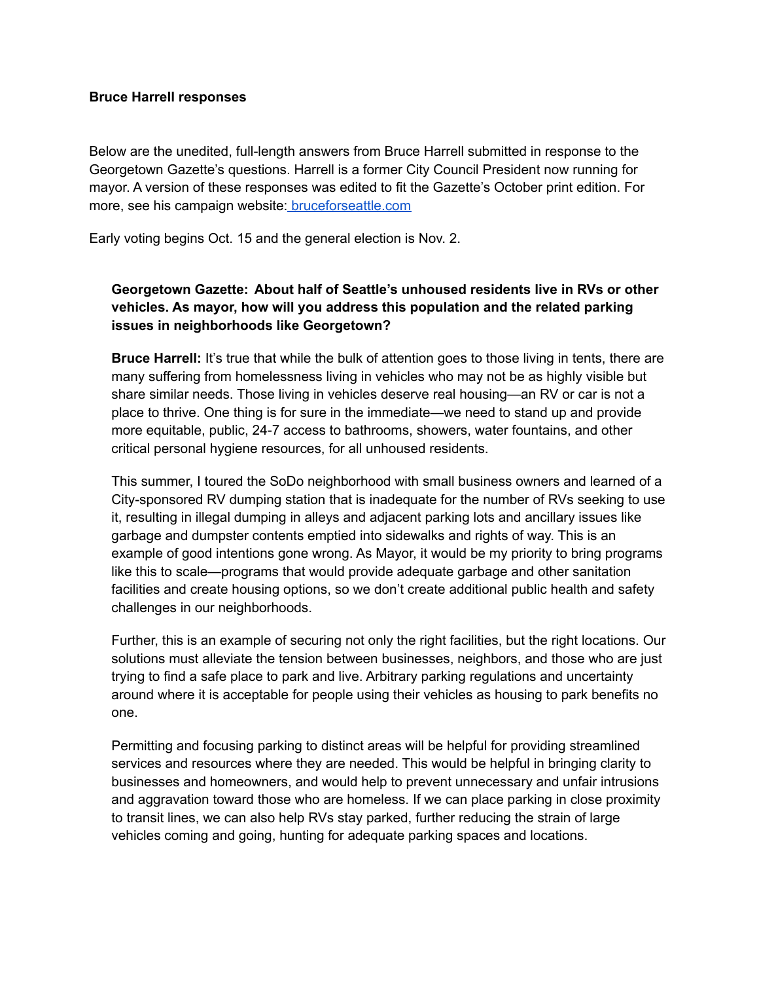#### **Bruce Harrell responses**

Below are the unedited, full-length answers from Bruce Harrell submitted in response to the Georgetown Gazette's questions. Harrell is a former City Council President now running for mayor. A version of these responses was edited to fit the Gazette's October print edition. For more, see his campaign website: [bruceforseattle.com](https://www.bruceforseattle.com/news/)

Early voting begins Oct. 15 and the general election is Nov. 2.

## **Georgetown Gazette: About half of Seattle's unhoused residents live in RVs or other vehicles. As mayor, how will you address this population and the related parking issues in neighborhoods like Georgetown?**

**Bruce Harrell:** It's true that while the bulk of attention goes to those living in tents, there are many suffering from homelessness living in vehicles who may not be as highly visible but share similar needs. Those living in vehicles deserve real housing—an RV or car is not a place to thrive. One thing is for sure in the immediate—we need to stand up and provide more equitable, public, 24-7 access to bathrooms, showers, water fountains, and other critical personal hygiene resources, for all unhoused residents.

This summer, I toured the SoDo neighborhood with small business owners and learned of a City-sponsored RV dumping station that is inadequate for the number of RVs seeking to use it, resulting in illegal dumping in alleys and adjacent parking lots and ancillary issues like garbage and dumpster contents emptied into sidewalks and rights of way. This is an example of good intentions gone wrong. As Mayor, it would be my priority to bring programs like this to scale—programs that would provide adequate garbage and other sanitation facilities and create housing options, so we don't create additional public health and safety challenges in our neighborhoods.

Further, this is an example of securing not only the right facilities, but the right locations. Our solutions must alleviate the tension between businesses, neighbors, and those who are just trying to find a safe place to park and live. Arbitrary parking regulations and uncertainty around where it is acceptable for people using their vehicles as housing to park benefits no one.

Permitting and focusing parking to distinct areas will be helpful for providing streamlined services and resources where they are needed. This would be helpful in bringing clarity to businesses and homeowners, and would help to prevent unnecessary and unfair intrusions and aggravation toward those who are homeless. If we can place parking in close proximity to transit lines, we can also help RVs stay parked, further reducing the strain of large vehicles coming and going, hunting for adequate parking spaces and locations.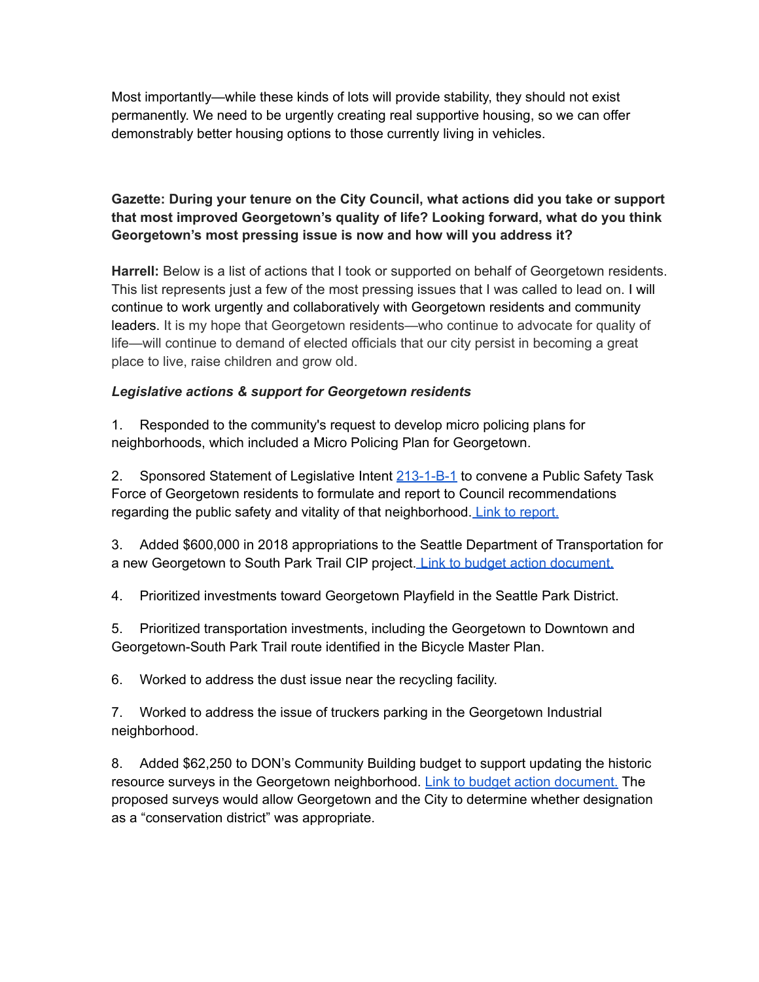Most importantly—while these kinds of lots will provide stability, they should not exist permanently. We need to be urgently creating real supportive housing, so we can offer demonstrably better housing options to those currently living in vehicles.

# **Gazette: During your tenure on the City Council, what actions did you take or support that most improved Georgetown's quality of life? Looking forward, what do you think Georgetown's most pressing issue is now and how will you address it?**

**Harrell:** Below is a list of actions that I took or supported on behalf of Georgetown residents. This list represents just a few of the most pressing issues that I was called to lead on. I will continue to work urgently and collaboratively with Georgetown residents and community leaders. It is my hope that Georgetown residents—who continue to advocate for quality of life—will continue to demand of elected officials that our city persist in becoming a great place to live, raise children and grow old.

## *Legislative actions & support for Georgetown residents*

1. Responded to the community's request to develop micro policing plans for neighborhoods, which included a Micro Policing Plan for Georgetown.

2. Sponsored Statement of Legislative Intent [213-1-B-1](http://clerk.seattle.gov/budgetdocs/2018/statments%20of%20legislative%20intent/213-1-b-1-2018.pdf) to convene a Public Safety Task Force of Georgetown residents to formulate and report to Council recommendations regarding the public safety and vitality of that neighborhood. Link to [report.](https://www.seattle.gov/documents/Departments/Neighborhoods/Shared/Georgetown-PSTF_FinalReport_7.31.2018.pdf)

3. Added \$600,000 in 2018 appropriations to the Seattle Department of Transportation for a new Georgetown to South Park Trail CIP project. Link to budget action [document.](http://clerk.seattle.gov/budgetdocs/2018/green%20sheets/45-1-a-2-2018.pdf)

4. Prioritized investments toward Georgetown Playfield in the Seattle Park District.

5. Prioritized transportation investments, including the Georgetown to Downtown and Georgetown-South Park Trail route identified in the Bicycle Master Plan.

6. Worked to address the dust issue near the recycling facility.

7. Worked to address the issue of truckers parking in the Georgetown Industrial neighborhood.

8. Added \$62,250 to DON's Community Building budget to support updating the historic resource surveys in the Georgetown neighborhood. Link to budget action [document.](http://clerk.seattle.gov/budgetdocs/2014/approved/34-1-a-1_approved.pdf) The proposed surveys would allow Georgetown and the City to determine whether designation as a "conservation district" was appropriate.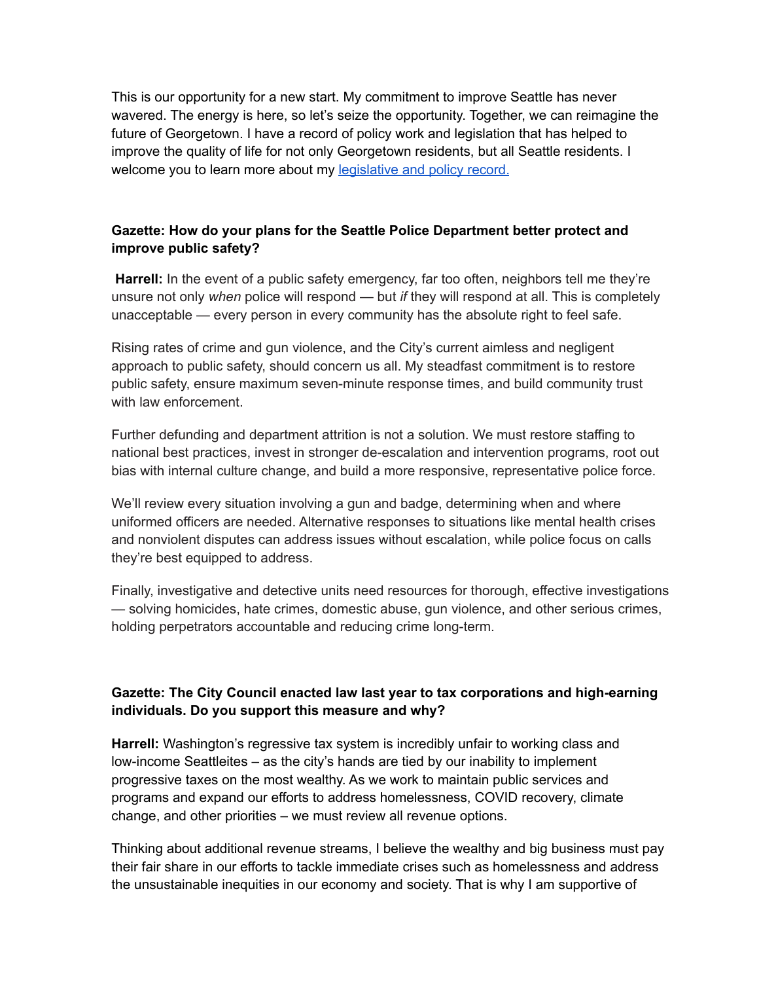This is our opportunity for a new start. My commitment to improve Seattle has never wavered. The energy is here, so let's seize the opportunity. Together, we can reimagine the future of Georgetown. I have a record of policy work and legislation that has helped to improve the quality of life for not only Georgetown residents, but all Seattle residents. I welcome you to learn more about my [legislative](https://onedrive.live.com/view.aspx?resid=62D8082AC418A303!22862&ithint=file%2cdocx&authkey=!AMJTgCAXRd16SZo) and policy record.

### **Gazette: How do your plans for the Seattle Police Department better protect and improve public safety?**

Harrell: In the event of a public safety emergency, far too often, neighbors tell me they're unsure not only *when* police will respond — but *if* they will respond at all. This is completely unacceptable — every person in every community has the absolute right to feel safe.

Rising rates of crime and gun violence, and the City's current aimless and negligent approach to public safety, should concern us all. My steadfast commitment is to restore public safety, ensure maximum seven-minute response times, and build community trust with law enforcement.

Further defunding and department attrition is not a solution. We must restore staffing to national best practices, invest in stronger de-escalation and intervention programs, root out bias with internal culture change, and build a more responsive, representative police force.

We'll review every situation involving a gun and badge, determining when and where uniformed officers are needed. Alternative responses to situations like mental health crises and nonviolent disputes can address issues without escalation, while police focus on calls they're best equipped to address.

Finally, investigative and detective units need resources for thorough, effective investigations — solving homicides, hate crimes, domestic abuse, gun violence, and other serious crimes, holding perpetrators accountable and reducing crime long-term.

#### **Gazette: The City Council enacted law last year to tax corporations and high-earning individuals. Do you support this measure and why?**

**Harrell:** Washington's regressive tax system is incredibly unfair to working class and low-income Seattleites – as the city's hands are tied by our inability to implement progressive taxes on the most wealthy. As we work to maintain public services and programs and expand our efforts to address homelessness, COVID recovery, climate change, and other priorities – we must review all revenue options.

Thinking about additional revenue streams, I believe the wealthy and big business must pay their fair share in our efforts to tackle immediate crises such as homelessness and address the unsustainable inequities in our economy and society. That is why I am supportive of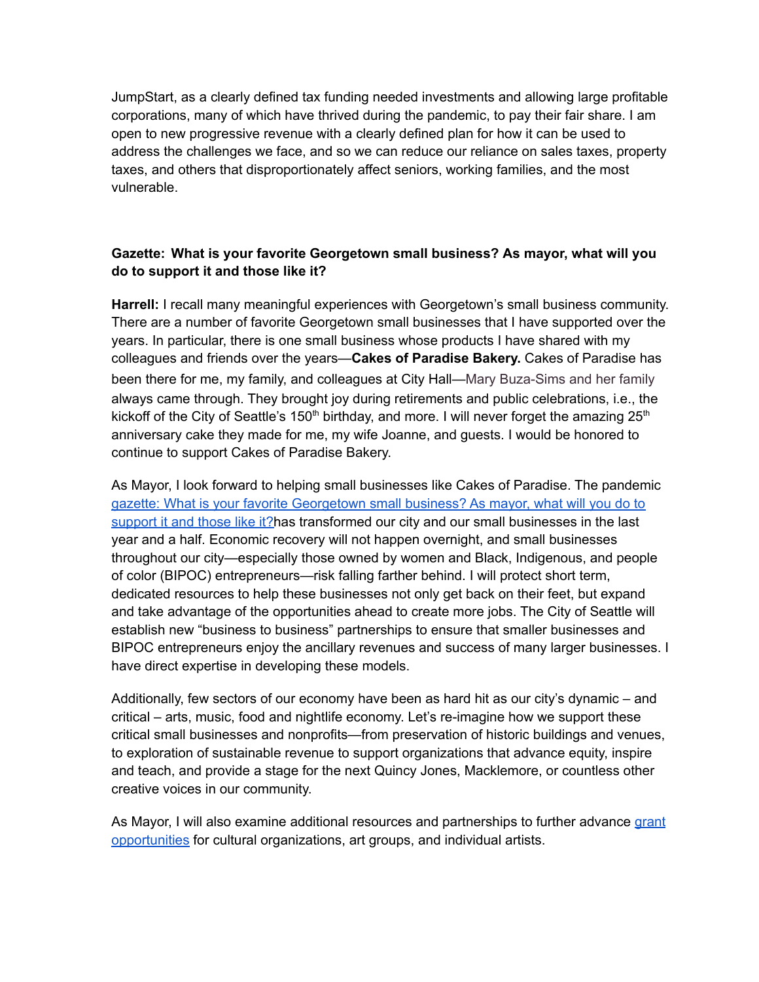JumpStart, as a clearly defined tax funding needed investments and allowing large profitable corporations, many of which have thrived during the pandemic, to pay their fair share. I am open to new progressive revenue with a clearly defined plan for how it can be used to address the challenges we face, and so we can reduce our reliance on sales taxes, property taxes, and others that disproportionately affect seniors, working families, and the most vulnerable.

### **Gazette: What is your favorite Georgetown small business? As mayor, what will you do to support it and those like it?**

**Harrell:** I recall many meaningful experiences with Georgetown's small business community. There are a number of favorite Georgetown small businesses that I have supported over the years. In particular, there is one small business whose products I have shared with my colleagues and friends over the years—**Cakes of Paradise Bakery.** Cakes of Paradise has been there for me, my family, and colleagues at City Hall—Mary Buza-Sims and her family always came through. They brought joy during retirements and public celebrations, i.e., the kickoff of the City of Seattle's 150<sup>th</sup> birthday, and more. I will never forget the amazing 25<sup>th</sup> anniversary cake they made for me, my wife Joanne, and guests. I would be honored to continue to support Cakes of Paradise Bakery.

As Mayor, I look forward to helping small businesses like Cakes of Paradise. The pandemic gazette: What is your favorite Georgetown small business? As mayor, what will you do to support it and those like it?has transformed our city and our small businesses in the last year and a half. Economic recovery will not happen overnight, and small businesses throughout our city—especially those owned by women and Black, Indigenous, and people of color (BIPOC) entrepreneurs—risk falling farther behind. I will protect short term, dedicated resources to help these businesses not only get back on their feet, but expand and take advantage of the opportunities ahead to create more jobs. The City of Seattle will establish new "business to business" partnerships to ensure that smaller businesses and BIPOC entrepreneurs enjoy the ancillary revenues and success of many larger businesses. I have direct expertise in developing these models.

Additionally, few sectors of our economy have been as hard hit as our city's dynamic – and critical – arts, music, food and nightlife economy. Let's re-imagine how we support these critical small businesses and nonprofits—from preservation of historic buildings and venues, to exploration of sustainable revenue to support organizations that advance equity, inspire and teach, and provide a stage for the next Quincy Jones, Macklemore, or countless other creative voices in our community.

As Mayor, I will also examine additional resources and partnerships to further advance [grant](https://www.seattle.gov/arts/programs/grants) [opportunities](https://www.seattle.gov/arts/programs/grants) for cultural organizations, art groups, and individual artists.